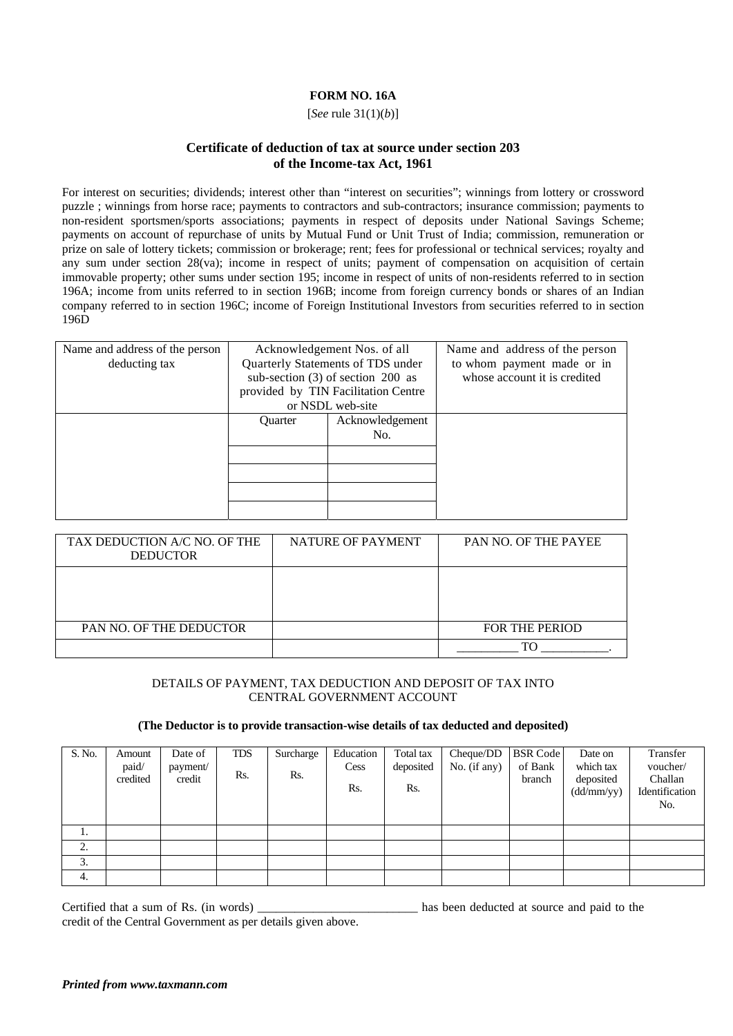## **FORM NO. 16A**

[*See* rule 31(1)(*b*)]

## **Certificate of deduction of tax at source under section 203 of the Income-tax Act, 1961**

For interest on securities; dividends; interest other than "interest on securities"; winnings from lottery or crossword puzzle ; winnings from horse race; payments to contractors and sub-contractors; insurance commission; payments to non-resident sportsmen/sports associations; payments in respect of deposits under National Savings Scheme; payments on account of repurchase of units by Mutual Fund or Unit Trust of India; commission, remuneration or prize on sale of lottery tickets; commission or brokerage; rent; fees for professional or technical services; royalty and any sum under section 28(va); income in respect of units; payment of compensation on acquisition of certain immovable property; other sums under section 195; income in respect of units of non-residents referred to in section 196A; income from units referred to in section 196B; income from foreign currency bonds or shares of an Indian company referred to in section 196C; income of Foreign Institutional Investors from securities referred to in section 196D

| Name and address of the person |                | Acknowledgement Nos. of all         | Name and address of the person |
|--------------------------------|----------------|-------------------------------------|--------------------------------|
| deducting tax                  |                | Quarterly Statements of TDS under   | to whom payment made or in     |
|                                |                | sub-section $(3)$ of section 200 as | whose account it is credited   |
|                                |                | provided by TIN Facilitation Centre |                                |
|                                |                | or NSDL web-site                    |                                |
|                                | <b>Ouarter</b> | Acknowledgement                     |                                |
|                                |                | No.                                 |                                |
|                                |                |                                     |                                |
|                                |                |                                     |                                |
|                                |                |                                     |                                |
|                                |                |                                     |                                |
|                                |                |                                     |                                |

| TAX DEDUCTION A/C NO. OF THE<br><b>DEDUCTOR</b> | NATURE OF PAYMENT | <b>PAN NO. OF THE PAYEE</b> |
|-------------------------------------------------|-------------------|-----------------------------|
|                                                 |                   |                             |
| <b>PAN NO. OF THE DEDUCTOR</b>                  |                   | <b>FOR THE PERIOD</b>       |
|                                                 |                   | ፐር                          |

## DETAILS OF PAYMENT, TAX DEDUCTION AND DEPOSIT OF TAX INTO CENTRAL GOVERNMENT ACCOUNT

## **(The Deductor is to provide transaction-wise details of tax deducted and deposited)**

| S. No. | Amount<br>paid/<br>credited | Date of<br>payment/<br>credit | TDS<br>Rs. | Surcharge<br>Rs. | Education<br>Cess<br>Rs. | Total tax<br>deposited<br>Rs. | Cheque/DD<br>No. (if any) | <b>BSR</b> Code<br>of Bank<br>branch | Date on<br>which tax<br>deposited<br>(dd/mm/yy) | Transfer<br>voucher/<br>Challan<br>Identification<br>No. |
|--------|-----------------------------|-------------------------------|------------|------------------|--------------------------|-------------------------------|---------------------------|--------------------------------------|-------------------------------------------------|----------------------------------------------------------|
| ı.     |                             |                               |            |                  |                          |                               |                           |                                      |                                                 |                                                          |
| 2.     |                             |                               |            |                  |                          |                               |                           |                                      |                                                 |                                                          |
| 3.     |                             |                               |            |                  |                          |                               |                           |                                      |                                                 |                                                          |
| 4.     |                             |                               |            |                  |                          |                               |                           |                                      |                                                 |                                                          |

Certified that a sum of Rs. (in words) has been deducted at source and paid to the credit of the Central Government as per details given above.